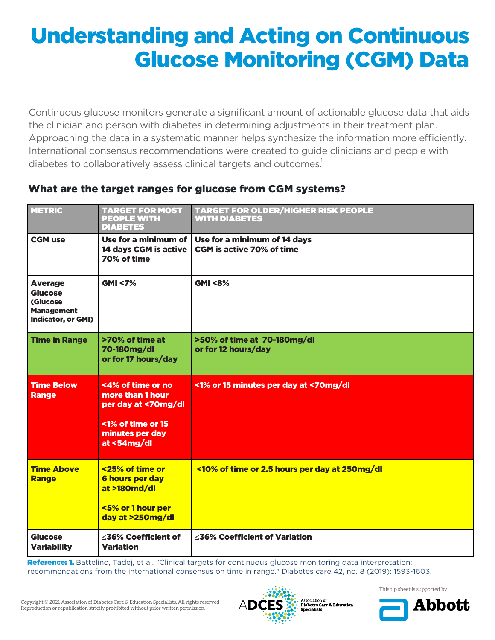# Understanding and Acting on Continuous Glucose Monitoring (CGM) Data

Continuous glucose monitors generate a significant amount of actionable glucose data that aids the clinician and person with diabetes in determining adjustments in their treatment plan. Approaching the data in a systematic manner helps synthesize the information more efficiently. International consensus recommendations were created to guide clinicians and people with diabetes to collaboratively assess clinical targets and outcomes.

## What are the target ranges for glucose from CGM systems?

| <b>METRIC</b>                                                                           | <b>TARGET FOR MOST</b><br><b>PEOPLE WITH</b><br><b>DIABETES</b>                                                     | <b>TARGET FOR OLDER/HIGHER RISK PEOPLE</b><br><b>WITH DIABETES</b> |
|-----------------------------------------------------------------------------------------|---------------------------------------------------------------------------------------------------------------------|--------------------------------------------------------------------|
| <b>CGM use</b>                                                                          | Use for a minimum of<br>14 days CGM is active<br>70% of time                                                        | Use for a minimum of 14 days<br><b>CGM is active 70% of time</b>   |
| <b>Average</b><br><b>Glucose</b><br>(Glucose<br><b>Management</b><br>Indicator, or GMI) | <b>GMI &lt;7%</b>                                                                                                   | <b>GMI &lt;8%</b>                                                  |
| <b>Time in Range</b>                                                                    | >70% of time at<br>70-180mg/dl<br>or for 17 hours/day                                                               | >50% of time at 70-180mg/dl<br>or for 12 hours/day                 |
| <b>Time Below</b><br><b>Range</b>                                                       | <4% of time or no<br>more than 1 hour<br>per day at <70mg/dl<br><1% of time or 15<br>minutes per day<br>at <54mg/dl | <1% or 15 minutes per day at <70mg/dl                              |
| <b>Time Above</b><br><b>Range</b>                                                       | <25% of time or<br><b>6 hours per day</b><br>at >180md/dl<br><5% or 1 hour per<br>day at >250mg/dl                  | <10% of time or 2.5 hours per day at 250mg/dl                      |
| <b>Glucose</b><br><b>Variability</b>                                                    | ≤36% Coefficient of<br><b>Variation</b>                                                                             | ≤36% Coefficient of Variation                                      |

Reference: 1. Battelino, Tadej, et al. "Clinical targets for continuous glucose monitoring data interpretation: recommendations from the international consensus on time in range." Diabetes care 42, no. 8 (2019): 1593-1603.



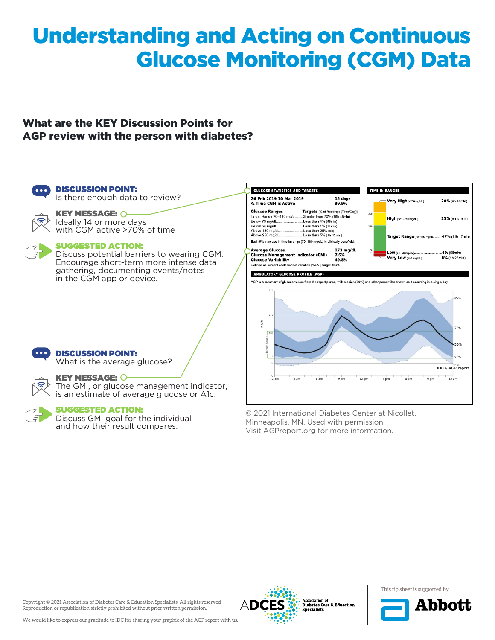# Understanding and Acting on Continuous Glucose Monitoring (CGM) Data

### What are the KEY Discussion Points for AGP review with the person with diabetes?



DISCUSSION POINT: Is there enough data to review?



**KEY MESSAGE: O-**Ideally 14 or more days with CGM active >70% of time

### SUGGESTED ACTION:

Discuss potential barriers to wearing CGM. Encourage short-term more intense data gathering, documenting events/notes in the CGM app or device.



© 2021 International Diabetes Center at Nicollet, Minneapolis, MN. Used with permission. Visit AGPreport.org for more information.



### DISCUSSION POINT:

What is the average glucose?





### KEY MESSAGE:

The GMI, or glucose management indicator, is an estimate of average glucose or A1c.

### SUGGESTED ACTION:

Discuss GMI goal for the individual and how their result compares.

Copyright © 2021 Association of Diabetes Care & Education Specialists. All rights reserved Reproduction or republication strictly prohibited without prior written permission.



This tip sheet is supported by